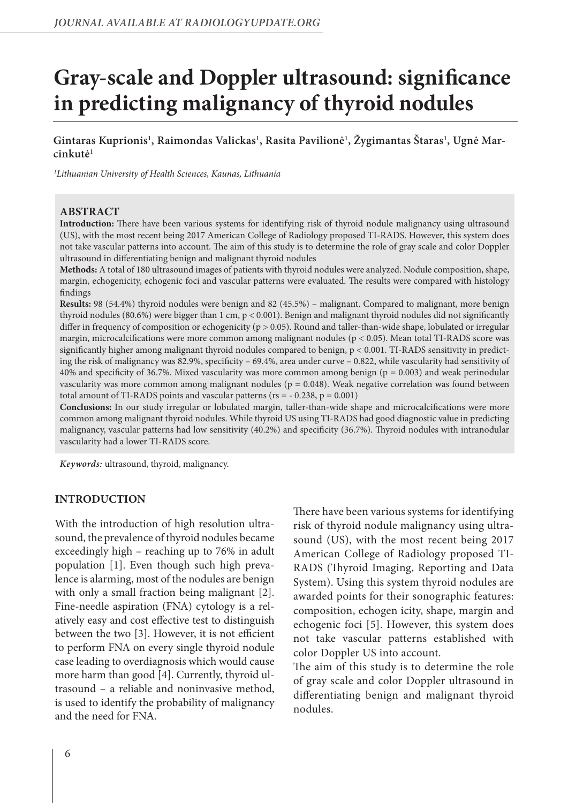# **Gray-scale and Doppler ultrasound: significance in predicting malignancy of thyroid nodules**

**Gintaras Kuprionis1 , Raimondas Valickas1 , Rasita Pavilionė1 , Žygimantas Štaras1 , Ugnė Marcinkutė1**

*1 Lithuanian University of Health Sciences, Kaunas, Lithuania*

## **ABSTRACT**

**Introduction:** There have been various systems for identifying risk of thyroid nodule malignancy using ultrasound (US), with the most recent being 2017 American College of Radiology proposed TI-RADS. However, this system does not take vascular patterns into account. The aim of this study is to determine the role of gray scale and color Doppler ultrasound in differentiating benign and malignant thyroid nodules

**Methods:** A total of 180 ultrasound images of patients with thyroid nodules were analyzed. Nodule composition, shape, margin, echogenicity, echogenic foci and vascular patterns were evaluated. The results were compared with histology findings

**Results:** 98 (54.4%) thyroid nodules were benign and 82 (45.5%) – malignant. Compared to malignant, more benign thyroid nodules (80.6%) were bigger than 1 cm,  $p < 0.001$ ). Benign and malignant thyroid nodules did not significantly differ in frequency of composition or echogenicity ( $p > 0.05$ ). Round and taller-than-wide shape, lobulated or irregular margin, microcalcifications were more common among malignant nodules (p < 0.05). Mean total TI-RADS score was significantly higher among malignant thyroid nodules compared to benign,  $p < 0.001$ . TI-RADS sensitivity in predicting the risk of malignancy was 82.9%, specificity – 69.4%, area under curve – 0.822, while vascularity had sensitivity of 40% and specificity of 36.7%. Mixed vascularity was more common among benign ( $p = 0.003$ ) and weak perinodular vascularity was more common among malignant nodules ( $p = 0.048$ ). Weak negative correlation was found between total amount of TI-RADS points and vascular patterns ( $rs = -0.238$ ,  $p = 0.001$ )

**Conclusions:** In our study irregular or lobulated margin, taller-than-wide shape and microcalcifications were more common among malignant thyroid nodules. While thyroid US using TI-RADS had good diagnostic value in predicting malignancy, vascular patterns had low sensitivity (40.2%) and specificity (36.7%). Thyroid nodules with intranodular vascularity had a lower TI-RADS score.

*Keywords:* ultrasound, thyroid, malignancy.

### **INTRODUCTION**

With the introduction of high resolution ultrasound, the prevalence of thyroid nodules became exceedingly high – reaching up to 76% in adult population [1]. Even though such high prevalence is alarming, most of the nodules are benign with only a small fraction being malignant [2]. Fine-needle aspiration (FNA) cytology is a relatively easy and cost effective test to distinguish between the two [3]. However, it is not efficient to perform FNA on every single thyroid nodule case leading to overdiagnosis which would cause more harm than good [4]. Currently, thyroid ultrasound – a reliable and noninvasive method, is used to identify the probability of malignancy and the need for FNA.

There have been various systems for identifying risk of thyroid nodule malignancy using ultrasound (US), with the most recent being 2017 American College of Radiology proposed TI-RADS (Thyroid Imaging, Reporting and Data System). Using this system thyroid nodules are awarded points for their sonographic features: composition, echogen icity, shape, margin and echogenic foci [5]. However, this system does not take vascular patterns established with color Doppler US into account.

The aim of this study is to determine the role of gray scale and color Doppler ultrasound in differentiating benign and malignant thyroid nodules.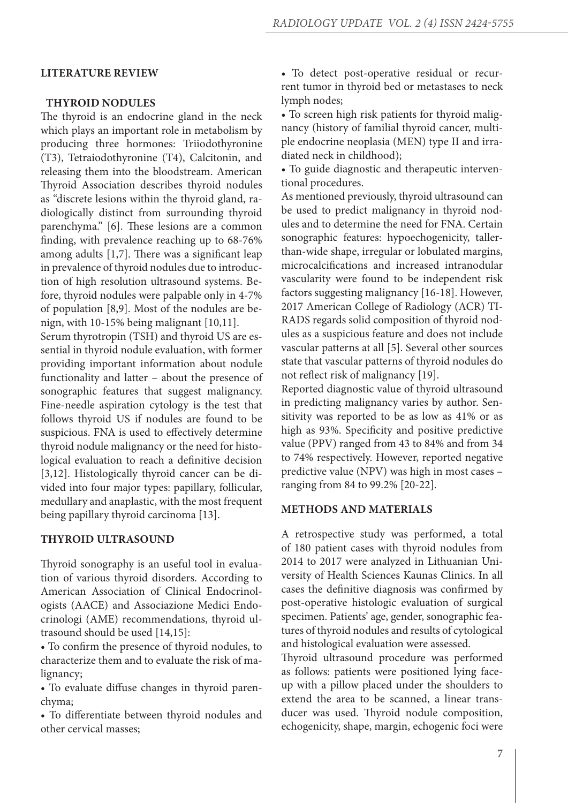#### **LITERATURE REVIEW**

## **THYROID NODULES**

The thyroid is an endocrine gland in the neck which plays an important role in metabolism by producing three hormones: Triiodothyronine (T3), Tetraiodothyronine (T4), Calcitonin, and releasing them into the bloodstream. American Thyroid Association describes thyroid nodules as "discrete lesions within the thyroid gland, radiologically distinct from surrounding thyroid parenchyma." [6]. These lesions are a common finding, with prevalence reaching up to 68-76% among adults [1,7]. There was a significant leap in prevalence of thyroid nodules due to introduction of high resolution ultrasound systems. Before, thyroid nodules were palpable only in 4-7% of population [8,9]. Most of the nodules are benign, with 10-15% being malignant [10,11]. Serum thyrotropin (TSH) and thyroid US are essential in thyroid nodule evaluation, with former providing important information about nodule

functionality and latter – about the presence of sonographic features that suggest malignancy. Fine-needle aspiration cytology is the test that follows thyroid US if nodules are found to be suspicious. FNA is used to effectively determine thyroid nodule malignancy or the need for histological evaluation to reach a definitive decision [3,12]. Histologically thyroid cancer can be divided into four major types: papillary, follicular, medullary and anaplastic, with the most frequent being papillary thyroid carcinoma [13].

#### **THYROID ULTRASOUND**

Thyroid sonography is an useful tool in evaluation of various thyroid disorders. According to American Association of Clinical Endocrinologists (AACE) and Associazione Medici Endocrinologi (AME) recommendations, thyroid ultrasound should be used [14,15]:

• To confirm the presence of thyroid nodules, to characterize them and to evaluate the risk of malignancy;

• To evaluate diffuse changes in thyroid parenchyma;

• To differentiate between thyroid nodules and other cervical masses;

• To detect post-operative residual or recurrent tumor in thyroid bed or metastases to neck lymph nodes;

• To screen high risk patients for thyroid malignancy (history of familial thyroid cancer, multiple endocrine neoplasia (MEN) type II and irradiated neck in childhood);

• To guide diagnostic and therapeutic interventional procedures.

As mentioned previously, thyroid ultrasound can be used to predict malignancy in thyroid nodules and to determine the need for FNA. Certain sonographic features: hypoechogenicity, tallerthan-wide shape, irregular or lobulated margins, microcalcifications and increased intranodular vascularity were found to be independent risk factors suggesting malignancy [16-18]. However, 2017 American College of Radiology (ACR) TI-RADS regards solid composition of thyroid nodules as a suspicious feature and does not include vascular patterns at all [5]. Several other sources state that vascular patterns of thyroid nodules do not reflect risk of malignancy [19].

Reported diagnostic value of thyroid ultrasound in predicting malignancy varies by author. Sensitivity was reported to be as low as 41% or as high as 93%. Specificity and positive predictive value (PPV) ranged from 43 to 84% and from 34 to 74% respectively. However, reported negative predictive value (NPV) was high in most cases – ranging from 84 to 99.2% [20-22].

## **METHODS AND MATERIALS**

A retrospective study was performed, a total of 180 patient cases with thyroid nodules from 2014 to 2017 were analyzed in Lithuanian University of Health Sciences Kaunas Clinics. In all cases the definitive diagnosis was confirmed by post-operative histologic evaluation of surgical specimen. Patients' age, gender, sonographic features of thyroid nodules and results of cytological and histological evaluation were assessed.

Thyroid ultrasound procedure was performed as follows: patients were positioned lying faceup with a pillow placed under the shoulders to extend the area to be scanned, a linear transducer was used. Thyroid nodule composition, echogenicity, shape, margin, echogenic foci were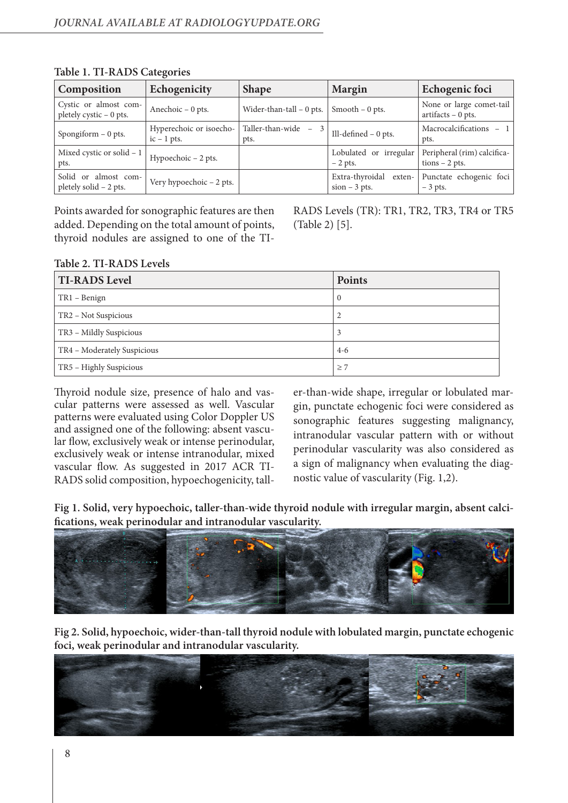| Composition                                      | Echogenicity                             | <b>Shape</b>               | <b>Margin</b>                                | Echogenic foci                                   |
|--------------------------------------------------|------------------------------------------|----------------------------|----------------------------------------------|--------------------------------------------------|
| Cystic or almost com-<br>pletely cystic - 0 pts. | Anechoic $-0$ pts.                       | Wider-than-tall $-0$ pts.  | Smooth $-0$ pts.                             | None or large comet-tail<br>$artifacts - 0 pts.$ |
| Spongiform - 0 pts.                              | Hyperechoic or isoecho-<br>$ic - 1$ pts. | Taller-than-wide -<br>pts. | Ill-defined $-0$ pts.                        | Macrocalcifications<br>$-1$<br>pts.              |
| Mixed cystic or solid - 1<br>pts.                | Hypoechoic - 2 pts.                      |                            | Lobulated or irregular<br>$-2$ pts.          | Peripheral (rim) calcifica-<br>$tions - 2 pts.$  |
| Solid or almost com-<br>pletely solid - 2 pts.   | Very hypoechoic $-2$ pts.                |                            | Extra-thyroidal<br>exten-<br>$sion - 3 pts.$ | Punctate echogenic foci<br>$-3$ pts.             |

## **Table 1. TI-RADS Categories**

Points awarded for sonographic features are then added. Depending on the total amount of points, thyroid nodules are assigned to one of the TI-

RADS Levels (TR): TR1, TR2, TR3, TR4 or TR5 (Table 2) [5].

# **Table 2. TI-RADS Levels**

| <b>TI-RADS Level</b>        | <b>Points</b> |
|-----------------------------|---------------|
| TR1 – Benign                | $\mathbf{0}$  |
| TR2 - Not Suspicious        | 2             |
| TR3 - Mildly Suspicious     | 3             |
| TR4 - Moderately Suspicious | $4-6$         |
| TR5 - Highly Suspicious     | $\geq 7$      |

Thyroid nodule size, presence of halo and vascular patterns were assessed as well. Vascular patterns were evaluated using Color Doppler US and assigned one of the following: absent vascular flow, exclusively weak or intense perinodular, exclusively weak or intense intranodular, mixed vascular flow. As suggested in 2017 ACR TI-RADS solid composition, hypoechogenicity, taller-than-wide shape, irregular or lobulated margin, punctate echogenic foci were considered as sonographic features suggesting malignancy, intranodular vascular pattern with or without perinodular vascularity was also considered as a sign of malignancy when evaluating the diagnostic value of vascularity (Fig. 1,2).

**Fig 1. Solid, very hypoechoic, taller-than-wide thyroid nodule with irregular margin, absent calcifications, weak perinodular and intranodular vascularity.**



**Fig 2. Solid, hypoechoic, wider-than-tall thyroid nodule with lobulated margin, punctate echogenic foci, weak perinodular and intranodular vascularity.**

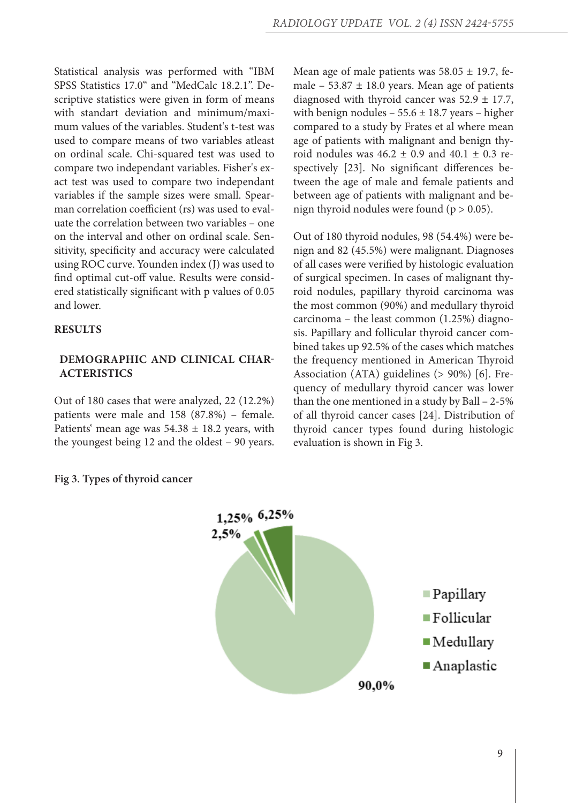Statistical analysis was performed with "IBM SPSS Statistics 17.0" and "MedCalc 18.2.1". Descriptive statistics were given in form of means with standart deviation and minimum/maximum values of the variables. Student's t-test was used to compare means of two variables atleast on ordinal scale. Chi-squared test was used to compare two independant variables. Fisher's exact test was used to compare two independant variables if the sample sizes were small. Spearman correlation coefficient (rs) was used to evaluate the correlation between two variables – one on the interval and other on ordinal scale. Sensitivity, specificity and accuracy were calculated using ROC curve. Younden index (J) was used to find optimal cut-off value. Results were considered statistically significant with p values of 0.05 and lower.

## **RESULTS**

# **DEMOGRAPHIC AND CLINICAL CHAR-ACTERISTICS**

Out of 180 cases that were analyzed, 22 (12.2%) patients were male and 158 (87.8%) – female. Patients' mean age was  $54.38 \pm 18.2$  years, with the youngest being 12 and the oldest – 90 years. Mean age of male patients was  $58.05 \pm 19.7$ , female –  $53.87 \pm 18.0$  years. Mean age of patients diagnosed with thyroid cancer was  $52.9 \pm 17.7$ , with benign nodules  $-55.6 \pm 18.7$  years – higher compared to a study by Frates et al where mean age of patients with malignant and benign thyroid nodules was  $46.2 \pm 0.9$  and  $40.1 \pm 0.3$  respectively [23]. No significant differences between the age of male and female patients and between age of patients with malignant and benign thyroid nodules were found ( $p > 0.05$ ).

Out of 180 thyroid nodules, 98 (54.4%) were benign and 82 (45.5%) were malignant. Diagnoses of all cases were verified by histologic evaluation of surgical specimen. In cases of malignant thyroid nodules, papillary thyroid carcinoma was the most common (90%) and medullary thyroid carcinoma – the least common (1.25%) diagnosis. Papillary and follicular thyroid cancer combined takes up 92.5% of the cases which matches the frequency mentioned in American Thyroid Association (ATA) guidelines (> 90%) [6]. Frequency of medullary thyroid cancer was lower than the one mentioned in a study by Ball – 2-5% of all thyroid cancer cases [24]. Distribution of thyroid cancer types found during histologic evaluation is shown in Fig 3.



### **Fig 3. Types of thyroid cancer**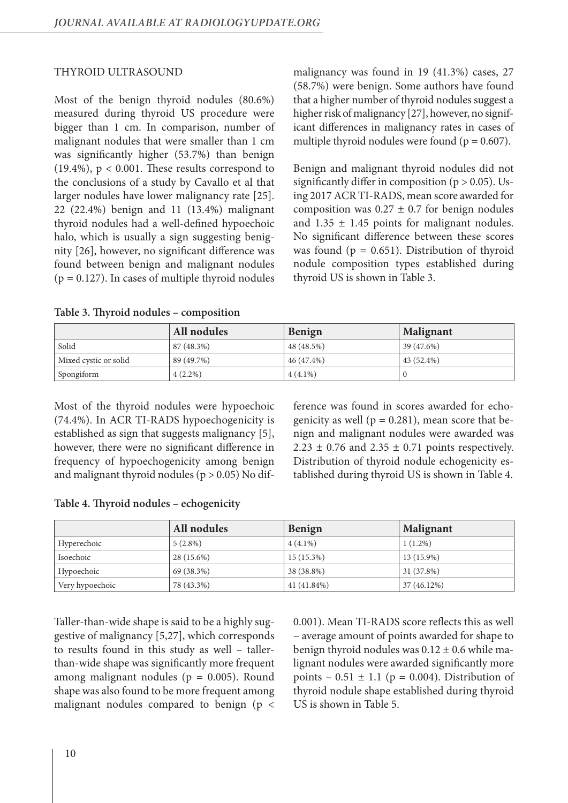## THYROID ULTRASOUND

Most of the benign thyroid nodules (80.6%) measured during thyroid US procedure were bigger than 1 cm. In comparison, number of malignant nodules that were smaller than 1 cm was significantly higher (53.7%) than benign (19.4%),  $p < 0.001$ . These results correspond to the conclusions of a study by Cavallo et al that larger nodules have lower malignancy rate [25]. 22 (22.4%) benign and 11 (13.4%) malignant thyroid nodules had a well-defined hypoechoic halo, which is usually a sign suggesting benignity [26], however, no significant difference was found between benign and malignant nodules  $(p = 0.127)$ . In cases of multiple thyroid nodules

malignancy was found in 19 (41.3%) cases, 27 (58.7%) were benign. Some authors have found that a higher number of thyroid nodules suggest a higher risk of malignancy [27], however, no significant differences in malignancy rates in cases of multiple thyroid nodules were found ( $p = 0.607$ ).

Benign and malignant thyroid nodules did not significantly differ in composition ( $p > 0.05$ ). Using 2017 ACR TI-RADS, mean score awarded for composition was  $0.27 \pm 0.7$  for benign nodules and  $1.35 \pm 1.45$  points for malignant nodules. No significant difference between these scores was found ( $p = 0.651$ ). Distribution of thyroid nodule composition types established during thyroid US is shown in Table 3.

|                       | All nodules | <b>Benign</b> | Malignant  |
|-----------------------|-------------|---------------|------------|
| Solid                 | 87 (48.3%)  | 48 (48.5%)    | 39 (47.6%) |
| Mixed cystic or solid | 89 (49.7%)  | 46 (47.4%)    | 43 (52.4%) |
| Spongiform            | $4(2.2\%)$  | $4(4.1\%)$    |            |

Most of the thyroid nodules were hypoechoic (74.4%). In ACR TI-RADS hypoechogenicity is established as sign that suggests malignancy [5], however, there were no significant difference in frequency of hypoechogenicity among benign and malignant thyroid nodules ( $p > 0.05$ ) No difference was found in scores awarded for echogenicity as well ( $p = 0.281$ ), mean score that benign and malignant nodules were awarded was  $2.23 \pm 0.76$  and  $2.35 \pm 0.71$  points respectively. Distribution of thyroid nodule echogenicity established during thyroid US is shown in Table 4.

|  |  |  | Table 4. Thyroid nodules - echogenicity |
|--|--|--|-----------------------------------------|
|--|--|--|-----------------------------------------|

|                 | All nodules | Benign       | <b>Malignant</b> |
|-----------------|-------------|--------------|------------------|
| Hyperechoic     | $5(2.8\%)$  | $4(4.1\%)$   | $1(1.2\%)$       |
| Isoechoic       | 28 (15.6%)  | $15(15.3\%)$ | 13 (15.9%)       |
| Hypoechoic      | 69 (38.3%)  | 38 (38.8%)   | 31 (37.8%)       |
| Very hypoechoic | 78 (43.3%)  | 41 (41.84%)  | 37 (46.12%)      |

Taller-than-wide shape is said to be a highly suggestive of malignancy [5,27], which corresponds to results found in this study as well – tallerthan-wide shape was significantly more frequent among malignant nodules ( $p = 0.005$ ). Round shape was also found to be more frequent among malignant nodules compared to benign (p <

0.001). Mean TI-RADS score reflects this as well – average amount of points awarded for shape to benign thyroid nodules was  $0.12 \pm 0.6$  while malignant nodules were awarded significantly more points –  $0.51 \pm 1.1$  (p = 0.004). Distribution of thyroid nodule shape established during thyroid US is shown in Table 5.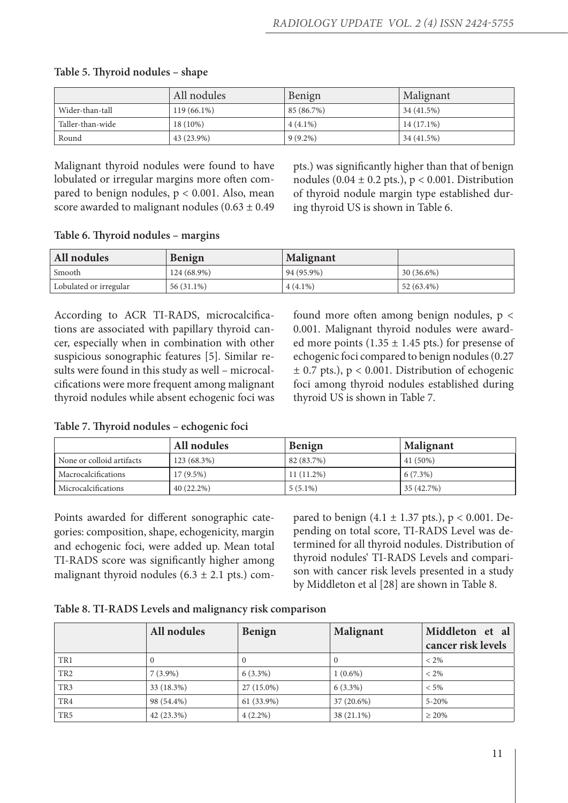|                  | All nodules   | Benign     | Malignant    |
|------------------|---------------|------------|--------------|
| Wider-than-tall  | $119(66.1\%)$ | 85 (86.7%) | 34 (41.5%)   |
| Taller-than-wide | 18 (10%)      | $4(4.1\%)$ | $14(17.1\%)$ |
| Round            | 43 (23.9%)    | $9(9.2\%)$ | 34 (41.5%)   |

## **Table 5. Thyroid nodules – shape**

Malignant thyroid nodules were found to have lobulated or irregular margins more often compared to benign nodules,  $p < 0.001$ . Also, mean score awarded to malignant nodules  $(0.63 \pm 0.49)$  pts.) was significantly higher than that of benign nodules (0.04  $\pm$  0.2 pts.), p < 0.001. Distribution of thyroid nodule margin type established during thyroid US is shown in Table 6.

## **Table 6. Thyroid nodules – margins**

| All nodules            | <b>Benign</b> | <b>Malignant</b> |              |
|------------------------|---------------|------------------|--------------|
| Smooth                 | 124 (68.9%)   | 94 (95.9%)       | $30(36.6\%)$ |
| Lobulated or irregular | 56 (31.1%)    | $4(4.1\%)$       | 52 (63.4%)   |

According to ACR TI-RADS, microcalcifications are associated with papillary thyroid cancer, especially when in combination with other suspicious sonographic features [5]. Similar results were found in this study as well – microcalcifications were more frequent among malignant thyroid nodules while absent echogenic foci was

found more often among benign nodules, p < 0.001. Malignant thyroid nodules were awarded more points  $(1.35 \pm 1.45 \text{ pts.})$  for presense of echogenic foci compared to benign nodules (0.27  $\pm$  0.7 pts.), p < 0.001. Distribution of echogenic foci among thyroid nodules established during thyroid US is shown in Table 7.

## **Table 7. Thyroid nodules – echogenic foci**

|                            | All nodules  | <b>Benign</b> | <b>Malignant</b> |
|----------------------------|--------------|---------------|------------------|
| None or colloid artifacts  | 123 (68.3%)  | 82(83.7%)     | 41 (50%)         |
| <b>Macrocalcifications</b> | $17(9.5\%)$  | $11(11.2\%)$  | $6(7.3\%)$       |
| Microcalcifications        | $40(22.2\%)$ | $5(5.1\%)$    | 35 (42.7%)       |

Points awarded for different sonographic categories: composition, shape, echogenicity, margin and echogenic foci, were added up. Mean total TI-RADS score was significantly higher among malignant thyroid nodules  $(6.3 \pm 2.1 \text{ pts.})$  compared to benign  $(4.1 \pm 1.37 \text{ pts.})$ , p < 0.001. Depending on total score, TI-RADS Level was determined for all thyroid nodules. Distribution of thyroid nodules' TI-RADS Levels and comparison with cancer risk levels presented in a study by Middleton et al [28] are shown in Table 8.

|  |  | Table 8. TI-RADS Levels and malignancy risk comparison |
|--|--|--------------------------------------------------------|
|  |  |                                                        |

|                 | All nodules  | Benign     | Malignant  | Middleton et al<br>cancer risk levels |
|-----------------|--------------|------------|------------|---------------------------------------|
| TR1             |              | $\theta$   |            | $< 2\%$                               |
| TR <sub>2</sub> | $7(3.9\%)$   | $6(3.3\%)$ | $1(0.6\%)$ | $< 2\%$                               |
| TR <sub>3</sub> | 33 (18.3%)   | 27 (15.0%) | $6(3.3\%)$ | $< 5\%$                               |
| TR4             | 98 (54.4%)   | 61 (33.9%) | 37 (20.6%) | $5 - 20%$                             |
| TR <sub>5</sub> | $42(23.3\%)$ | $4(2.2\%)$ | 38 (21.1%) | $\geq 20\%$                           |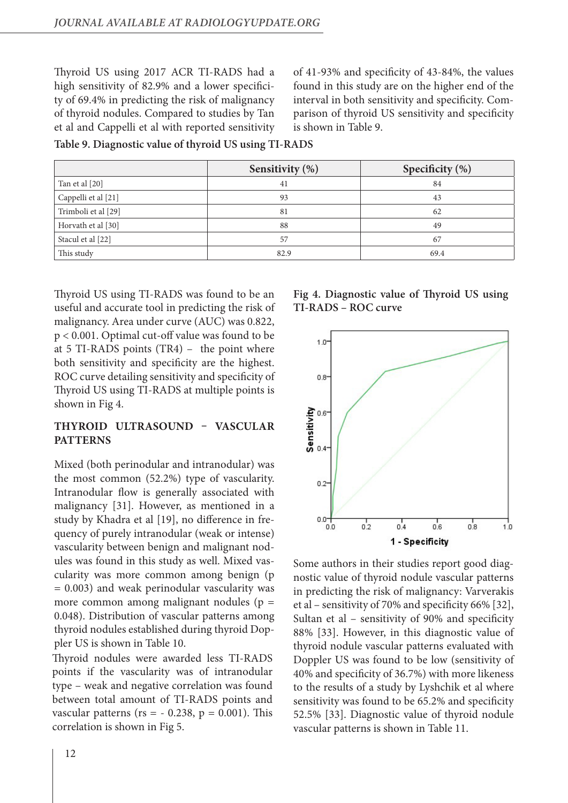Thyroid US using 2017 ACR TI-RADS had a high sensitivity of 82.9% and a lower specificity of 69.4% in predicting the risk of malignancy of thyroid nodules. Compared to studies by Tan et al and Cappelli et al with reported sensitivity

of 41-93% and specificity of 43-84%, the values found in this study are on the higher end of the interval in both sensitivity and specificity. Comparison of thyroid US sensitivity and specificity is shown in Table 9.

**Table 9. Diagnostic value of thyroid US using TI-RADS**

|                     | Sensitivity (%) | Specificity (%) |
|---------------------|-----------------|-----------------|
| Tan et al [20]      | 41              | 84              |
| Cappelli et al [21] | 93              | 43              |
| Trimboli et al [29] | 81              | 62              |
| Horvath et al [30]  | 88              | 49              |
| Stacul et al [22]   | 57              | 67              |
| This study          | 82.9            | 69.4            |

Thyroid US using TI-RADS was found to be an useful and accurate tool in predicting the risk of malignancy. Area under curve (AUC) was 0.822, p < 0.001. Optimal cut-off value was found to be at 5 TI-RADS points (TR4) – the point where both sensitivity and specificity are the highest. ROC curve detailing sensitivity and specificity of Thyroid US using TI-RADS at multiple points is shown in Fig 4.

# **THYROID ULTRASOUND – VASCULAR PATTERNS**

Mixed (both perinodular and intranodular) was the most common (52.2%) type of vascularity. Intranodular flow is generally associated with malignancy [31]. However, as mentioned in a study by Khadra et al [19], no difference in frequency of purely intranodular (weak or intense) vascularity between benign and malignant nodules was found in this study as well. Mixed vascularity was more common among benign (p = 0.003) and weak perinodular vascularity was more common among malignant nodules ( $p =$ 0.048). Distribution of vascular patterns among thyroid nodules established during thyroid Doppler US is shown in Table 10.

Thyroid nodules were awarded less TI-RADS points if the vascularity was of intranodular type – weak and negative correlation was found between total amount of TI-RADS points and vascular patterns ( $rs = -0.238$ ,  $p = 0.001$ ). This correlation is shown in Fig 5.

**Fig 4. Diagnostic value of Thyroid US using TI-RADS – ROC curve**



Some authors in their studies report good diagnostic value of thyroid nodule vascular patterns in predicting the risk of malignancy: Varverakis et al – sensitivity of 70% and specificity 66% [32], Sultan et al – sensitivity of 90% and specificity 88% [33]. However, in this diagnostic value of thyroid nodule vascular patterns evaluated with Doppler US was found to be low (sensitivity of 40% and specificity of 36.7%) with more likeness to the results of a study by Lyshchik et al where sensitivity was found to be 65.2% and specificity 52.5% [33]. Diagnostic value of thyroid nodule vascular patterns is shown in Table 11.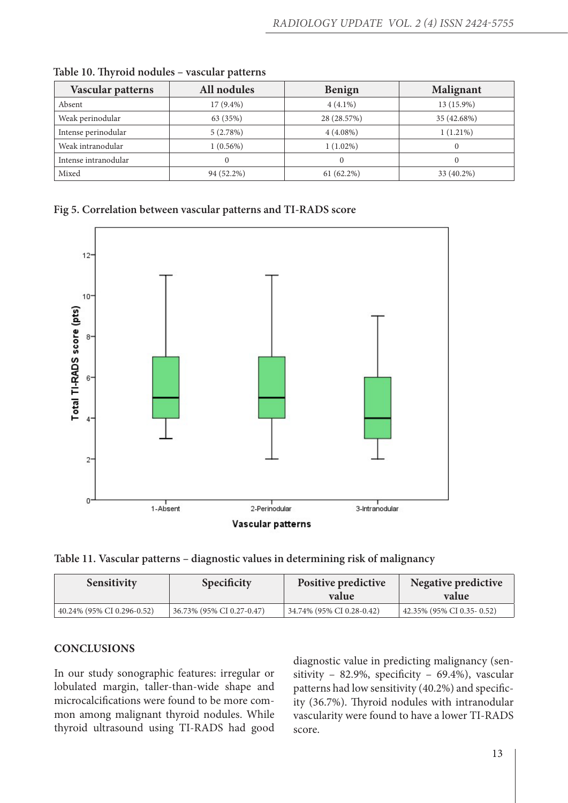| Vascular patterns    | All nodules | <b>Benign</b> | <b>Malignant</b> |
|----------------------|-------------|---------------|------------------|
| Absent               | $17(9.4\%)$ | $4(4.1\%)$    | 13 (15.9%)       |
| Weak perinodular     | 63 (35%)    | 28 (28.57%)   | 35 (42.68%)      |
| Intense perinodular  | 5(2.78%)    | $4(4.08\%)$   | $1(1.21\%)$      |
| Weak intranodular    | $1(0.56\%)$ | $1(1.02\%)$   | $\Omega$         |
| Intense intranodular | 0           |               |                  |
| Mixed                | 94 (52.2%)  | $61(62.2\%)$  | 33 (40.2%)       |

|  |  |  | Table 10. Thyroid nodules - vascular patterns |  |
|--|--|--|-----------------------------------------------|--|
|--|--|--|-----------------------------------------------|--|

## **Fig 5. Correlation between vascular patterns and TI-RADS score**



**Table 11. Vascular patterns – diagnostic values in determining risk of malignancy**

| <b>Sensitivity</b>         | <b>Specificity</b>        | <b>Positive predictive</b><br>value | Negative predictive<br>value |
|----------------------------|---------------------------|-------------------------------------|------------------------------|
| 40.24% (95% CI 0.296-0.52) | 36.73% (95% CI 0.27-0.47) | 34.74% (95% CI 0.28-0.42)           | 42.35% (95% CI 0.35 - 0.52)  |

## **CONCLUSIONS**

In our study sonographic features: irregular or lobulated margin, taller-than-wide shape and microcalcifications were found to be more common among malignant thyroid nodules. While thyroid ultrasound using TI-RADS had good

diagnostic value in predicting malignancy (sensitivity – 82.9%, specificity – 69.4%), vascular patterns had low sensitivity (40.2%) and specificity (36.7%). Thyroid nodules with intranodular vascularity were found to have a lower TI-RADS score.